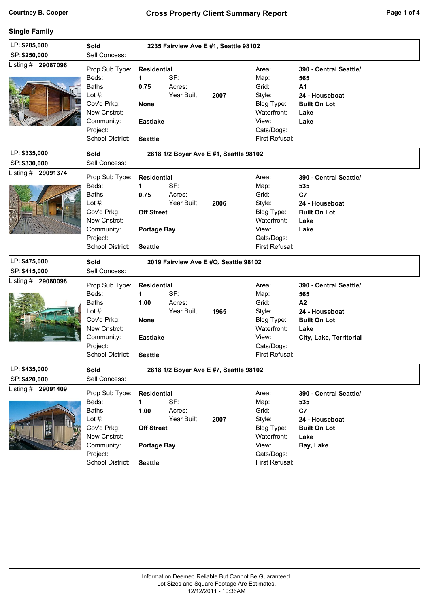### **Single Family**

| LP: \$285,000                       | Sold<br>2235 Fairview Ave E #1, Seattle 98102                                                                               |                                                                                              |                             |                                        |                                                                                                        |                                                                                                                 |
|-------------------------------------|-----------------------------------------------------------------------------------------------------------------------------|----------------------------------------------------------------------------------------------|-----------------------------|----------------------------------------|--------------------------------------------------------------------------------------------------------|-----------------------------------------------------------------------------------------------------------------|
| SP: \$250,000                       | Sell Concess:                                                                                                               |                                                                                              |                             |                                        |                                                                                                        |                                                                                                                 |
| Listing # 29087096                  | Prop Sub Type:<br>Beds:<br>Baths:<br>Lot $#$ :<br>Cov'd Prkg:<br>New Cnstrct:<br>Community:<br>Project:<br>School District: | <b>Residential</b><br>1<br>0.75<br><b>None</b><br><b>Eastlake</b><br><b>Seattle</b>          | SF:<br>Acres:<br>Year Built | 2007                                   | Area:<br>Map:<br>Grid:<br>Style:<br>Bldg Type:<br>Waterfront:<br>View:<br>Cats/Dogs:<br>First Refusal: | 390 - Central Seattle/<br>565<br>A1<br>24 - Houseboat<br><b>Built On Lot</b><br>Lake<br>Lake                    |
| LP: \$335,000                       | Sold                                                                                                                        |                                                                                              |                             | 2818 1/2 Boyer Ave E #1, Seattle 98102 |                                                                                                        |                                                                                                                 |
| SP: \$330,000                       | Sell Concess:                                                                                                               |                                                                                              |                             |                                        |                                                                                                        |                                                                                                                 |
| Listing # 29091374                  | Prop Sub Type:<br>Beds:<br>Baths:<br>Lot $#$ :<br>Cov'd Prkg:<br>New Cnstrct:<br>Community:<br>Project:<br>School District: | <b>Residential</b><br>1<br>0.75<br><b>Off Street</b><br><b>Portage Bay</b><br><b>Seattle</b> | SF:<br>Acres:<br>Year Built | 2006                                   | Area:<br>Map:<br>Grid:<br>Style:<br>Bldg Type:<br>Waterfront:<br>View:<br>Cats/Dogs:<br>First Refusal: | 390 - Central Seattle/<br>535<br>C7<br>24 - Houseboat<br><b>Built On Lot</b><br>Lake<br>Lake                    |
|                                     |                                                                                                                             |                                                                                              |                             |                                        |                                                                                                        |                                                                                                                 |
| LP: \$475,000                       | <b>Sold</b>                                                                                                                 |                                                                                              |                             | 2019 Fairview Ave E #Q, Seattle 98102  |                                                                                                        |                                                                                                                 |
| SP: \$415,000                       | Sell Concess:                                                                                                               |                                                                                              |                             |                                        |                                                                                                        |                                                                                                                 |
| Listing # 29080098                  | Prop Sub Type:<br>Beds:<br>Baths:<br>Lot #:<br>Cov'd Prkg:<br>New Cnstrct:<br>Community:<br>Project:<br>School District:    | <b>Residential</b><br>1<br>1.00<br><b>None</b><br><b>Eastlake</b><br><b>Seattle</b>          | SF:<br>Acres:<br>Year Built | 1965                                   | Area:<br>Map:<br>Grid:<br>Style:<br>Bldg Type:<br>Waterfront:<br>View:<br>Cats/Dogs:<br>First Refusal: | 390 - Central Seattle/<br>565<br>A2<br>24 - Houseboat<br><b>Built On Lot</b><br>Lake<br>City, Lake, Territorial |
| LP: \$435,000                       | Sold                                                                                                                        |                                                                                              |                             | 2818 1/2 Boyer Ave E #7, Seattle 98102 |                                                                                                        |                                                                                                                 |
| SP: \$420,000<br>Listing # 29091409 | Sell Concess:                                                                                                               |                                                                                              |                             |                                        |                                                                                                        |                                                                                                                 |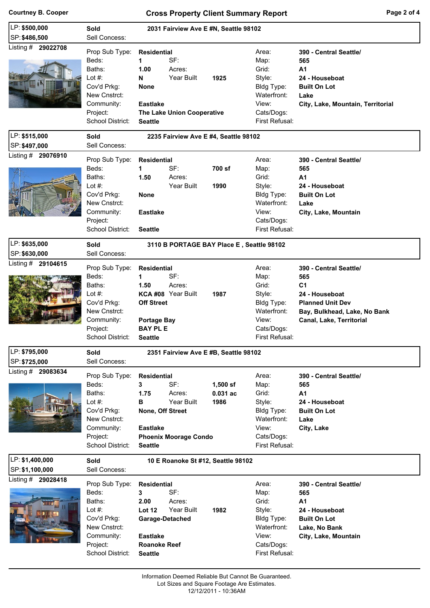## **Courtney B. Cooper Cross Property Client Summary Report Page 2 of 4**

| LP: \$500,000                       | <b>Sold</b><br>2031 Fairview Ave E #N, Seattle 98102                                                                                      |                                                                                                                                                                                                  |                                                                                                        |                                                                                                                                                          |  |  |  |
|-------------------------------------|-------------------------------------------------------------------------------------------------------------------------------------------|--------------------------------------------------------------------------------------------------------------------------------------------------------------------------------------------------|--------------------------------------------------------------------------------------------------------|----------------------------------------------------------------------------------------------------------------------------------------------------------|--|--|--|
| SP: \$486,500                       | Sell Concess:                                                                                                                             |                                                                                                                                                                                                  |                                                                                                        |                                                                                                                                                          |  |  |  |
| Listing # 29022708                  | Prop Sub Type:<br>Beds:<br>Baths:<br>Lot $#$ :<br>Cov'd Prkg:<br>New Cnstrct:<br>Community:<br>Project:<br>School District:               | <b>Residential</b><br>SF:<br>1<br>1.00<br>Acres:<br>Year Built<br>N<br>1925<br><b>None</b><br><b>Eastlake</b><br>The Lake Union Cooperative<br><b>Seattle</b>                                    | Area:<br>Map:<br>Grid:<br>Style:<br>Bldg Type:<br>Waterfront:<br>View:<br>Cats/Dogs:<br>First Refusal: | 390 - Central Seattle/<br>565<br>A <sub>1</sub><br>24 - Houseboat<br><b>Built On Lot</b><br>Lake<br>City, Lake, Mountain, Territorial                    |  |  |  |
| LP: \$515,000                       | Sold                                                                                                                                      | 2235 Fairview Ave E #4, Seattle 98102                                                                                                                                                            |                                                                                                        |                                                                                                                                                          |  |  |  |
| SP: \$497,000                       | Sell Concess:                                                                                                                             |                                                                                                                                                                                                  |                                                                                                        |                                                                                                                                                          |  |  |  |
| Listing # 29076910                  | Prop Sub Type:<br>Beds:<br>Baths:<br>Lot $#$ :<br>Cov'd Prkg:<br>New Cnstrct:<br>Community:<br>Project:<br>School District:               | <b>Residential</b><br>SF:<br>700 sf<br>1<br>1.50<br>Acres:<br>Year Built<br>1990<br><b>None</b><br><b>Eastlake</b><br><b>Seattle</b>                                                             | Area:<br>Map:<br>Grid:<br>Style:<br>Bldg Type:<br>Waterfront:<br>View:<br>Cats/Dogs:<br>First Refusal: | 390 - Central Seattle/<br>565<br>A <sub>1</sub><br>24 - Houseboat<br><b>Built On Lot</b><br>Lake<br>City, Lake, Mountain                                 |  |  |  |
| LP: \$635,000                       | Sold                                                                                                                                      | 3110 B PORTAGE BAY Place E, Seattle 98102                                                                                                                                                        |                                                                                                        |                                                                                                                                                          |  |  |  |
| SP: \$630,000                       | Sell Concess:                                                                                                                             |                                                                                                                                                                                                  |                                                                                                        |                                                                                                                                                          |  |  |  |
| Listing # 29104615                  | Prop Sub Type:<br>Beds:<br>Baths:<br>Lot #:<br>Cov'd Prkg:<br>New Cnstrct:<br>Community:<br>Project:<br>School District:                  | <b>Residential</b><br>SF:<br>1<br>1.50<br>Acres:<br>KCA #08 Year Built<br>1987<br><b>Off Street</b><br><b>Portage Bay</b><br><b>BAY PL E</b><br><b>Seattle</b>                                   | Area:<br>Map:<br>Grid:<br>Style:<br>Bldg Type:<br>Waterfront:<br>View:<br>Cats/Dogs:<br>First Refusal: | 390 - Central Seattle/<br>565<br>C <sub>1</sub><br>24 - Houseboat<br><b>Planned Unit Dev</b><br>Bay, Bulkhead, Lake, No Bank<br>Canal, Lake, Territorial |  |  |  |
| LP: \$795,000                       | Sold                                                                                                                                      | 2351 Fairview Ave E #B, Seattle 98102                                                                                                                                                            |                                                                                                        |                                                                                                                                                          |  |  |  |
| SP: \$725,000<br>Listing # 29083634 | Sell Concess:<br>Prop Sub Type:<br>Beds:<br>Baths:<br>Lot #:<br>Cov'd Prkg:<br>New Cnstrct:<br>Community:<br>Project:<br>School District: | <b>Residential</b><br>SF:<br>3<br>$1,500$ sf<br>1.75<br>Acres:<br>$0.031$ ac<br>Year Built<br>в<br>1986<br>None, Off Street<br><b>Eastlake</b><br><b>Phoenix Moorage Condo</b><br><b>Seattle</b> | Area:<br>Map:<br>Grid:<br>Style:<br>Bldg Type:<br>Waterfront:<br>View:<br>Cats/Dogs:<br>First Refusal: | 390 - Central Seattle/<br>565<br>A1<br>24 - Houseboat<br><b>Built On Lot</b><br>Lake<br>City, Lake                                                       |  |  |  |
| LP: \$1,400,000<br>SP: \$1,100,000  | Sold<br>Sell Concess:                                                                                                                     | 10 E Roanoke St #12, Seattle 98102                                                                                                                                                               |                                                                                                        |                                                                                                                                                          |  |  |  |
| Listing # 29028418                  | Prop Sub Type:<br>Beds:<br>Baths:<br>Lot $#$ :<br>Cov'd Prkg:<br>New Cnstrct:<br>Community:<br>Project:<br>School District:               | <b>Residential</b><br>3<br>SF:<br>2.00<br>Acres:<br>Year Built<br><b>Lot 12</b><br>1982<br>Garage-Detached<br><b>Eastlake</b><br><b>Roanoke Reef</b><br><b>Seattle</b>                           | Area:<br>Map:<br>Grid:<br>Style:<br>Bldg Type:<br>Waterfront:<br>View:<br>Cats/Dogs:<br>First Refusal: | 390 - Central Seattle/<br>565<br>A1<br>24 - Houseboat<br><b>Built On Lot</b><br>Lake, No Bank<br>City, Lake, Mountain                                    |  |  |  |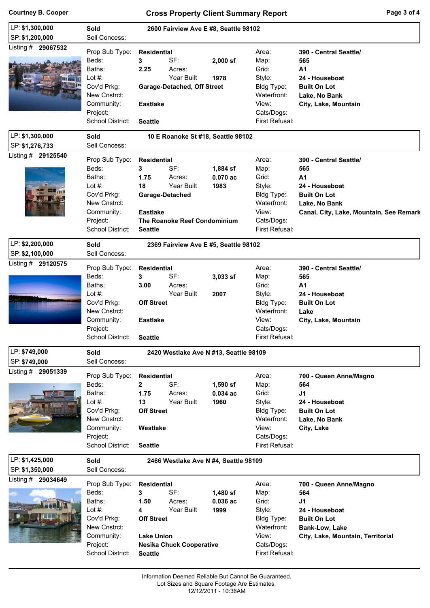### **Courtney B. Cooper Cross Property Client Summary Report**

| Page 3 of 4 |  |  |
|-------------|--|--|
|             |  |  |

| LP: \$1,300,000                                          |                              |                                 |                                        |                              |                                         |
|----------------------------------------------------------|------------------------------|---------------------------------|----------------------------------------|------------------------------|-----------------------------------------|
| SP: \$1,200,000                                          | Sold<br>Sell Concess:        |                                 | 2600 Fairview Ave E #8, Seattle 98102  |                              |                                         |
| Listing # 29067532                                       |                              |                                 |                                        |                              |                                         |
|                                                          | Prop Sub Type:               | <b>Residential</b>              |                                        | Area:                        | 390 - Central Seattle/                  |
|                                                          | Beds:                        | SF:<br>3                        | $2,000$ sf                             | Map:                         | 565                                     |
|                                                          | Baths:                       | 2.25<br>Acres:                  |                                        | Grid:                        | A <sub>1</sub>                          |
|                                                          | Lot $#$ :                    | Year Built                      | 1978                                   | Style:                       | 24 - Houseboat                          |
|                                                          | Cov'd Prkg:                  | Garage-Detached, Off Street     |                                        | Bldg Type:                   | <b>Built On Lot</b>                     |
|                                                          | New Cnstrct:                 |                                 |                                        | Waterfront:                  | Lake, No Bank                           |
|                                                          | Community:                   | <b>Eastlake</b>                 |                                        | View:                        | City, Lake, Mountain                    |
|                                                          | Project:                     |                                 |                                        | Cats/Dogs:                   |                                         |
|                                                          | School District:             | <b>Seattle</b>                  |                                        | First Refusal:               |                                         |
| LP: \$1,300,000                                          | Sold                         |                                 | 10 E Roanoke St #18, Seattle 98102     |                              |                                         |
| SP: \$1,276,733                                          | Sell Concess:                |                                 |                                        |                              |                                         |
| Listing # 29125540                                       | Prop Sub Type:               | <b>Residential</b>              |                                        | Area:                        | 390 - Central Seattle/                  |
|                                                          | Beds:                        | SF:<br>3                        | 1,884 sf                               | Map:                         | 565                                     |
|                                                          | Baths:                       | Acres:<br>1.75                  | 0.070ac                                | Grid:                        | A <sub>1</sub>                          |
|                                                          | Lot $#$ :                    | Year Built<br>18                | 1983                                   | Style:                       | 24 - Houseboat                          |
|                                                          | Cov'd Prkg:                  | Garage-Detached                 |                                        | Bldg Type:                   | <b>Built On Lot</b>                     |
|                                                          | New Cnstrct:                 |                                 |                                        | Waterfront:                  | Lake, No Bank                           |
|                                                          | Community:                   | <b>Eastlake</b>                 |                                        | View:                        | Canal, City, Lake, Mountain, See Remark |
|                                                          | Project:                     | The Roanoke Reef Condominium    |                                        | Cats/Dogs:                   |                                         |
|                                                          | School District:             | <b>Seattle</b>                  |                                        | First Refusal:               |                                         |
|                                                          |                              |                                 |                                        |                              |                                         |
| LP: \$2,200,000                                          | Sold                         |                                 | 2369 Fairview Ave E #5, Seattle 98102  |                              |                                         |
| SP: \$2,100,000                                          | Sell Concess:                |                                 |                                        |                              |                                         |
| Listing # 29120575                                       | Prop Sub Type:               | <b>Residential</b>              |                                        | Area:                        | 390 - Central Seattle/                  |
|                                                          | Beds:                        | SF:<br>3                        | 3,033 sf                               | Map:                         | 565                                     |
|                                                          | Baths:                       | 3.00<br>Acres:                  |                                        | Grid:                        | A <sub>1</sub>                          |
|                                                          | Lot $#$ :                    | Year Built                      | 2007                                   | Style:                       | 24 - Houseboat                          |
|                                                          | Cov'd Prkg:                  | <b>Off Street</b>               |                                        | Bldg Type:                   | <b>Built On Lot</b>                     |
|                                                          | New Cnstrct:                 |                                 |                                        | Waterfront:                  | Lake                                    |
|                                                          |                              |                                 |                                        |                              |                                         |
|                                                          |                              |                                 |                                        |                              |                                         |
|                                                          | Community:                   | <b>Eastlake</b>                 |                                        | View:                        | City, Lake, Mountain                    |
|                                                          | Project:<br>School District: | <b>Seattle</b>                  |                                        | Cats/Dogs:<br>First Refusal: |                                         |
|                                                          |                              |                                 |                                        |                              |                                         |
|                                                          | Sold                         |                                 | 2420 Westlake Ave N #13, Seattle 98109 |                              |                                         |
| LP: \$749,000                                            | Sell Concess:                |                                 |                                        |                              |                                         |
|                                                          | Prop Sub Type:               | <b>Residential</b>              |                                        | Area:                        | 700 - Queen Anne/Magno                  |
|                                                          | Beds:                        | $\overline{2}$<br>SF:           | $1,590$ sf                             | Map:                         | 564                                     |
|                                                          | Baths:                       | 1.75<br>Acres:                  | 0.034ac                                | Grid:                        | J <sub>1</sub>                          |
|                                                          | Lot $#$ :                    | Year Built<br>13                | 1960                                   | Style:                       | 24 - Houseboat                          |
|                                                          | Cov'd Prkg:                  | <b>Off Street</b>               |                                        | Bldg Type:                   | <b>Built On Lot</b>                     |
|                                                          | New Cnstrct:                 |                                 |                                        | Waterfront:                  | Lake, No Bank                           |
|                                                          | Community:                   | Westlake                        |                                        | View:                        | City, Lake                              |
|                                                          | Project:                     |                                 |                                        | Cats/Dogs:                   |                                         |
|                                                          | School District:             | <b>Seattle</b>                  |                                        | First Refusal:               |                                         |
| SP: \$749,000<br>Listing # 29051339                      |                              |                                 |                                        |                              |                                         |
|                                                          | Sold<br>Sell Concess:        |                                 | 2466 Westlake Ave N #4, Seattle 98109  |                              |                                         |
| LP: \$1,425,000<br>SP: \$1,350,000<br>Listing # 29034649 |                              |                                 |                                        |                              |                                         |
|                                                          | Prop Sub Type:               | <b>Residential</b>              |                                        | Area:                        | 700 - Queen Anne/Magno                  |
|                                                          | Beds:                        | SF:<br>3                        | 1,480 sf                               | Map:                         | 564                                     |
|                                                          | Baths:                       | 1.50<br>Acres:                  | 0.036ac                                | Grid:                        | J <sub>1</sub>                          |
|                                                          | Lot $#$ :                    | Year Built<br>4                 | 1999                                   | Style:                       | 24 - Houseboat                          |
|                                                          | Cov'd Prkg:                  | <b>Off Street</b>               |                                        | Bldg Type:                   | <b>Built On Lot</b>                     |
|                                                          | New Cnstrct:                 |                                 |                                        | Waterfront:                  | <b>Bank-Low, Lake</b>                   |
|                                                          | Community:                   | <b>Lake Union</b>               |                                        | View:                        | City, Lake, Mountain, Territorial       |
|                                                          | Project:                     | <b>Nesika Chuck Cooperative</b> |                                        | Cats/Dogs:<br>First Refusal: |                                         |